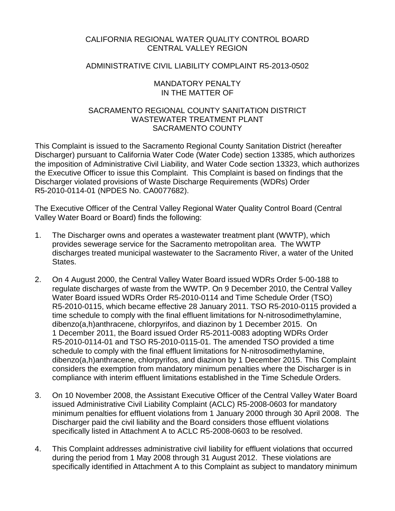# CALIFORNIA REGIONAL WATER QUALITY CONTROL BOARD CENTRAL VALLEY REGION

# ADMINISTRATIVE CIVIL LIABILITY COMPLAINT R5-2013-0502

## MANDATORY PENALTY IN THE MATTER OF

# SACRAMENTO REGIONAL COUNTY SANITATION DISTRICT WASTEWATER TREATMENT PLANT SACRAMENTO COUNTY

This Complaint is issued to the Sacramento Regional County Sanitation District (hereafter Discharger) pursuant to California Water Code (Water Code) section 13385, which authorizes the imposition of Administrative Civil Liability, and Water Code section 13323, which authorizes the Executive Officer to issue this Complaint. This Complaint is based on findings that the Discharger violated provisions of Waste Discharge Requirements (WDRs) Order R5-2010-0114-01 (NPDES No. CA0077682).

The Executive Officer of the Central Valley Regional Water Quality Control Board (Central Valley Water Board or Board) finds the following:

- 1. The Discharger owns and operates a wastewater treatment plant (WWTP), which provides sewerage service for the Sacramento metropolitan area. The WWTP discharges treated municipal wastewater to the Sacramento River, a water of the United States.
- 2. On 4 August 2000, the Central Valley Water Board issued WDRs Order 5-00-188 to regulate discharges of waste from the WWTP. On 9 December 2010, the Central Valley Water Board issued WDRs Order R5-2010-0114 and Time Schedule Order (TSO) R5-2010-0115, which became effective 28 January 2011. TSO R5-2010-0115 provided a time schedule to comply with the final effluent limitations for N-nitrosodimethylamine, dibenzo(a,h)anthracene, chlorpyrifos, and diazinon by 1 December 2015. On 1 December 2011, the Board issued Order R5-2011-0083 adopting WDRs Order R5-2010-0114-01 and TSO R5-2010-0115-01. The amended TSO provided a time schedule to comply with the final effluent limitations for N-nitrosodimethylamine, dibenzo(a,h)anthracene, chlorpyrifos, and diazinon by 1 December 2015. This Complaint considers the exemption from mandatory minimum penalties where the Discharger is in compliance with interim effluent limitations established in the Time Schedule Orders.
- 3. On 10 November 2008, the Assistant Executive Officer of the Central Valley Water Board issued Administrative Civil Liability Complaint (ACLC) R5-2008-0603 for mandatory minimum penalties for effluent violations from 1 January 2000 through 30 April 2008. The Discharger paid the civil liability and the Board considers those effluent violations specifically listed in Attachment A to ACLC R5-2008-0603 to be resolved.
- 4. This Complaint addresses administrative civil liability for effluent violations that occurred during the period from 1 May 2008 through 31 August 2012. These violations are specifically identified in Attachment A to this Complaint as subject to mandatory minimum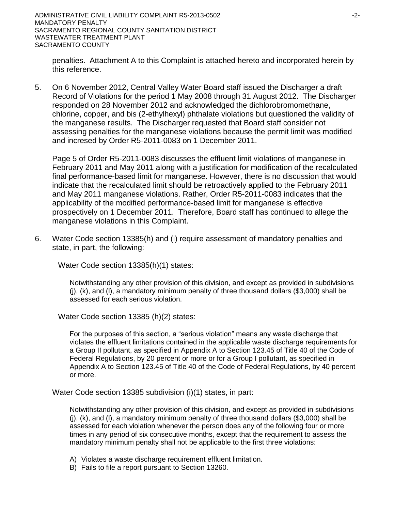penalties. Attachment A to this Complaint is attached hereto and incorporated herein by this reference.

5. On 6 November 2012, Central Valley Water Board staff issued the Discharger a draft Record of Violations for the period 1 May 2008 through 31 August 2012. The Discharger responded on 28 November 2012 and acknowledged the dichlorobromomethane, chlorine, copper, and bis (2-ethylhexyl) phthalate violations but questioned the validity of the manganese results. The Discharger requested that Board staff consider not assessing penalties for the manganese violations because the permit limit was modified and incresed by Order R5-2011-0083 on 1 December 2011.

Page 5 of Order R5-2011-0083 discusses the effluent limit violations of manganese in February 2011 and May 2011 along with a justification for modification of the recalculated final performance-based limit for manganese. However, there is no discussion that would indicate that the recalculated limit should be retroactively applied to the February 2011 and May 2011 manganese violations. Rather, Order R5-2011-0083 indicates that the applicability of the modified performance-based limit for manganese is effective prospectively on 1 December 2011. Therefore, Board staff has continued to allege the manganese violations in this Complaint.

6. Water Code section 13385(h) and (i) require assessment of mandatory penalties and state, in part, the following:

Water Code section 13385(h)(1) states:

Notwithstanding any other provision of this division, and except as provided in subdivisions (j), (k), and (l), a mandatory minimum penalty of three thousand dollars (\$3,000) shall be assessed for each serious violation.

Water Code section 13385 (h)(2) states:

For the purposes of this section, a "serious violation" means any waste discharge that violates the effluent limitations contained in the applicable waste discharge requirements for a Group II pollutant, as specified in Appendix A to Section 123.45 of Title 40 of the Code of Federal Regulations, by 20 percent or more or for a Group I pollutant, as specified in Appendix A to Section 123.45 of Title 40 of the Code of Federal Regulations, by 40 percent or more.

Water Code section 13385 subdivision (i)(1) states, in part:

Notwithstanding any other provision of this division, and except as provided in subdivisions (j), (k), and (l), a mandatory minimum penalty of three thousand dollars (\$3,000) shall be assessed for each violation whenever the person does any of the following four or more times in any period of six consecutive months, except that the requirement to assess the mandatory minimum penalty shall not be applicable to the first three violations:

- A) Violates a waste discharge requirement effluent limitation.
- B) Fails to file a report pursuant to Section 13260.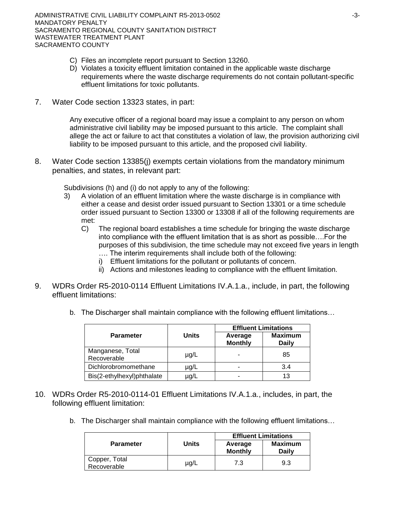ADMINISTRATIVE CIVIL LIABILITY COMPLAINT R5-2013-0502 ADMINISTRATIVE CIVIL LIABILITY COMPLAINT R5-2013-0502 MANDATORY PENALTY SACRAMENTO REGIONAL COUNTY SANITATION DISTRICT WASTEWATER TREATMENT PLANT SACRAMENTO COUNTY

- C) Files an incomplete report pursuant to Section 13260.
- D) Violates a toxicity effluent limitation contained in the applicable waste discharge requirements where the waste discharge requirements do not contain pollutant-specific effluent limitations for toxic pollutants.
- 7. Water Code section 13323 states, in part:

Any executive officer of a regional board may issue a complaint to any person on whom administrative civil liability may be imposed pursuant to this article. The complaint shall allege the act or failure to act that constitutes a violation of law, the provision authorizing civil liability to be imposed pursuant to this article, and the proposed civil liability.

8. Water Code section 13385(j) exempts certain violations from the mandatory minimum penalties, and states, in relevant part:

Subdivisions (h) and (i) do not apply to any of the following:

- 3) A violation of an effluent limitation where the waste discharge is in compliance with either a cease and desist order issued pursuant to Section 13301 or a time schedule order issued pursuant to Section 13300 or 13308 if all of the following requirements are met:
	- C) The regional board establishes a time schedule for bringing the waste discharge into compliance with the effluent limitation that is as short as possible….For the purposes of this subdivision, the time schedule may not exceed five years in length …. The interim requirements shall include both of the following:
		- i) Effluent limitations for the pollutant or pollutants of concern.
		- ii) Actions and milestones leading to compliance with the effluent limitation.
- 9. WDRs Order R5-2010-0114 Effluent Limitations IV.A.1.a., include, in part, the following effluent limitations:
	- b. The Discharger shall maintain compliance with the following effluent limitations…

|                                 |              | <b>Effluent Limitations</b> |                                |  |  |
|---------------------------------|--------------|-----------------------------|--------------------------------|--|--|
| <b>Parameter</b>                | <b>Units</b> | Average<br><b>Monthly</b>   | <b>Maximum</b><br><b>Daily</b> |  |  |
| Manganese, Total<br>Recoverable | µg/L         |                             | 85                             |  |  |
| Dichlorobromomethane            | $\mu$ g/L    |                             | 3.4                            |  |  |
| Bis(2-ethylhexyl)phthalate      | µg/L         |                             | 13                             |  |  |

- 10. WDRs Order R5-2010-0114-01 Effluent Limitations IV.A.1.a., includes, in part, the following effluent limitation:
	- b. The Discharger shall maintain compliance with the following effluent limitations…

|                              |       | <b>Effluent Limitations</b> |                                |  |  |
|------------------------------|-------|-----------------------------|--------------------------------|--|--|
| <b>Parameter</b>             | Units | Average<br><b>Monthly</b>   | <b>Maximum</b><br><b>Daily</b> |  |  |
| Copper, Total<br>Recoverable | µg/L  | 7.3                         | 9.3                            |  |  |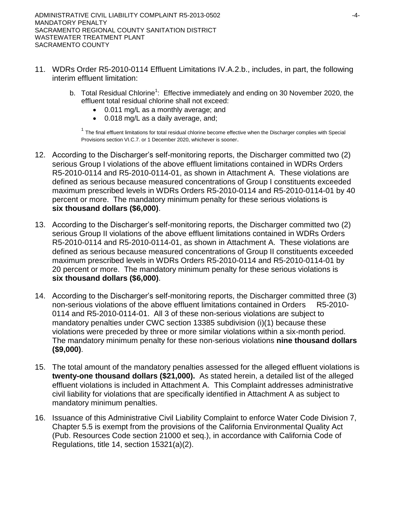- 11. WDRs Order R5-2010-0114 Effluent Limitations IV.A.2.b., includes, in part, the following interim effluent limitation:
	- b. Total Residual Chlorine<sup>1</sup>: Effective immediately and ending on 30 November 2020, the effluent total residual chlorine shall not exceed:
		- 0.011 mg/L as a monthly average; and
		- 0.018 mg/L as a daily average, and;

<sup>1</sup> The final effluent limitations for total residual chlorine become effective when the Discharger complies with Special Provisions section VI.C.7. or 1 December 2020, whichever is sooner.

- 12. According to the Discharger's self-monitoring reports, the Discharger committed two (2) serious Group I violations of the above effluent limitations contained in WDRs Orders R5-2010-0114 and R5-2010-0114-01, as shown in Attachment A. These violations are defined as serious because measured concentrations of Group I constituents exceeded maximum prescribed levels in WDRs Orders R5-2010-0114 and R5-2010-0114-01 by 40 percent or more. The mandatory minimum penalty for these serious violations is **six thousand dollars (\$6,000)**.
- 13. According to the Discharger's self-monitoring reports, the Discharger committed two (2) serious Group II violations of the above effluent limitations contained in WDRs Orders R5-2010-0114 and R5-2010-0114-01, as shown in Attachment A. These violations are defined as serious because measured concentrations of Group II constituents exceeded maximum prescribed levels in WDRs Orders R5-2010-0114 and R5-2010-0114-01 by 20 percent or more. The mandatory minimum penalty for these serious violations is **six thousand dollars (\$6,000)**.
- 14. According to the Discharger's self-monitoring reports, the Discharger committed three (3) non-serious violations of the above effluent limitations contained in Orders R5-2010-0114 and R5-2010-0114-01. All 3 of these non-serious violations are subject to mandatory penalties under CWC section 13385 subdivision (i)(1) because these violations were preceded by three or more similar violations within a six-month period. The mandatory minimum penalty for these non-serious violations **nine thousand dollars (\$9,000)**.
- 15. The total amount of the mandatory penalties assessed for the alleged effluent violations is **twenty-one thousand dollars (\$21,000).** As stated herein, a detailed list of the alleged effluent violations is included in Attachment A. This Complaint addresses administrative civil liability for violations that are specifically identified in Attachment A as subject to mandatory minimum penalties.
- 16. Issuance of this Administrative Civil Liability Complaint to enforce Water Code Division 7, Chapter 5.5 is exempt from the provisions of the California Environmental Quality Act (Pub. Resources Code section 21000 et seq.), in accordance with California Code of Regulations, title 14, section 15321(a)(2).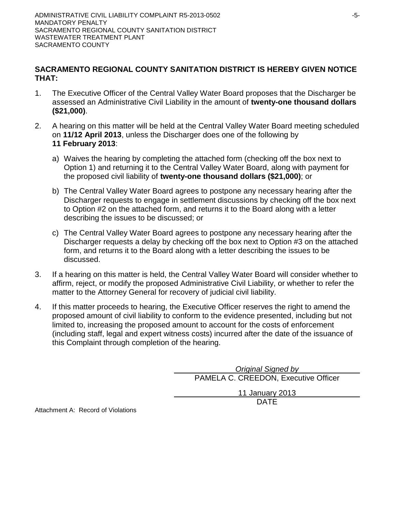# **SACRAMENTO REGIONAL COUNTY SANITATION DISTRICT IS HEREBY GIVEN NOTICE THAT:**

- 1. The Executive Officer of the Central Valley Water Board proposes that the Discharger be assessed an Administrative Civil Liability in the amount of **twenty-one thousand dollars (\$21,000)**.
- 2. A hearing on this matter will be held at the Central Valley Water Board meeting scheduled on **11/12 April 2013**, unless the Discharger does one of the following by **11 February 2013**:
	- a) Waives the hearing by completing the attached form (checking off the box next to Option 1) and returning it to the Central Valley Water Board, along with payment for the proposed civil liability of **twenty-one thousand dollars (\$21,000)**; or
	- b) The Central Valley Water Board agrees to postpone any necessary hearing after the Discharger requests to engage in settlement discussions by checking off the box next to Option #2 on the attached form, and returns it to the Board along with a letter describing the issues to be discussed; or
	- c) The Central Valley Water Board agrees to postpone any necessary hearing after the Discharger requests a delay by checking off the box next to Option #3 on the attached form, and returns it to the Board along with a letter describing the issues to be discussed.
- 3. If a hearing on this matter is held, the Central Valley Water Board will consider whether to affirm, reject, or modify the proposed Administrative Civil Liability, or whether to refer the matter to the Attorney General for recovery of judicial civil liability.
- 4. If this matter proceeds to hearing, the Executive Officer reserves the right to amend the proposed amount of civil liability to conform to the evidence presented, including but not limited to, increasing the proposed amount to account for the costs of enforcement (including staff, legal and expert witness costs) incurred after the date of the issuance of this Complaint through completion of the hearing.

| Original Signed by                   |
|--------------------------------------|
| PAMELA C. CREEDON, Executive Officer |
| 11 January 2013                      |
| <b>DATE</b>                          |

Attachment A: Record of Violations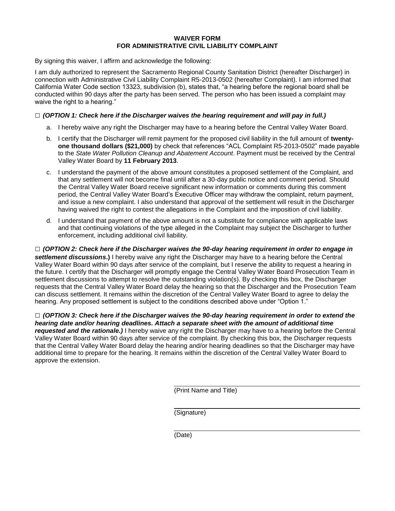### **WAIVER FORM FOR ADMINISTRATIVE CIVIL LIABILITY COMPLAINT**

By signing this waiver, I affirm and acknowledge the following:

I am duly authorized to represent the Sacramento Regional County Sanitation District (hereafter Discharger) in connection with Administrative Civil Liability Complaint R5-2013-0502 (hereafter Complaint). I am informed that California Water Code section 13323, subdivision (b), states that, "a hearing before the regional board shall be conducted within 90 days after the party has been served. The person who has been issued a complaint may waive the right to a hearing."

### **□** *(OPTION 1: Check here if the Discharger waives the hearing requirement and will pay in full.)*

- a. I hereby waive any right the Discharger may have to a hearing before the Central Valley Water Board.
- b. I certify that the Discharger will remit payment for the proposed civil liability in the full amount of **twentyone thousand dollars (\$21,000)** by check that references "ACL Complaint R5-2013-0502" made payable to the *State Water Pollution Cleanup and Abatement Account*. Payment must be received by the Central Valley Water Board by **11 February 2013**.
- c. I understand the payment of the above amount constitutes a proposed settlement of the Complaint, and that any settlement will not become final until after a 30-day public notice and comment period. Should the Central Valley Water Board receive significant new information or comments during this comment period, the Central Valley Water Board's Executive Officer may withdraw the complaint, return payment, and issue a new complaint. I also understand that approval of the settlement will result in the Discharger having waived the right to contest the allegations in the Complaint and the imposition of civil liability.
- d. I understand that payment of the above amount is not a substitute for compliance with applicable laws and that continuing violations of the type alleged in the Complaint may subject the Discharger to further enforcement, including additional civil liability.

**□** *(OPTION 2: Check here if the Discharger waives the 90-day hearing requirement in order to engage in settlement discussions***.)** I hereby waive any right the Discharger may have to a hearing before the Central Valley Water Board within 90 days after service of the complaint, but I reserve the ability to request a hearing in the future. I certify that the Discharger will promptly engage the Central Valley Water Board Prosecution Team in settlement discussions to attempt to resolve the outstanding violation(s). By checking this box, the Discharger requests that the Central Valley Water Board delay the hearing so that the Discharger and the Prosecution Team can discuss settlement. It remains within the discretion of the Central Valley Water Board to agree to delay the hearing. Any proposed settlement is subject to the conditions described above under "Option 1."

**□** *(OPTION 3: Check here if the Discharger waives the 90-day hearing requirement in order to extend the hearing date and/or hearing deadlines. Attach a separate sheet with the amount of additional time requested and the rationale.)* I hereby waive any right the Discharger may have to a hearing before the Central Valley Water Board within 90 days after service of the complaint. By checking this box, the Discharger requests that the Central Valley Water Board delay the hearing and/or hearing deadlines so that the Discharger may have additional time to prepare for the hearing. It remains within the discretion of the Central Valley Water Board to approve the extension.

(Print Name and Title)

(Signature)

(Date)